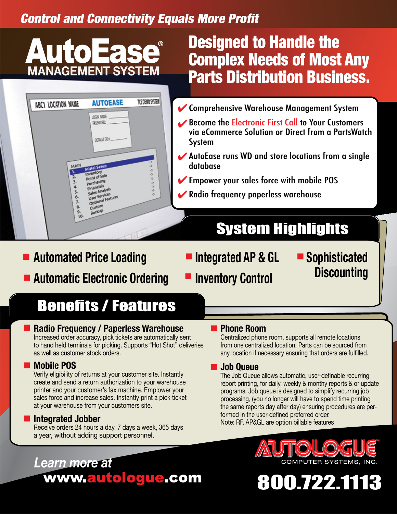## Control and Connectivity Equals More Profit

# AutoEase

| ABC1 LOCATION NAME                              | <b>AUTOEASE</b>                                    | TCS DEMO SYSTEM          |
|-------------------------------------------------|----------------------------------------------------|--------------------------|
|                                                 | LOGIN NAME<br>PASSWORD:                            |                          |
|                                                 |                                                    |                          |
|                                                 | DEFAULT COM                                        |                          |
|                                                 |                                                    | っこ                       |
| MAIN                                            | <b>Initial Setup</b><br>Inventory<br>Point of Sale | ò,<br>S.                 |
| $\frac{1}{2}$<br>$\frac{2}{3}$<br>$\frac{4}{5}$ | Purchasing<br>Financials                           | 5<br>ò,<br>$\frac{3}{2}$ |
| 6.                                              | Sales Analysis<br>User Services                    | $\overline{a}$           |
| 8.<br>9.                                        | Custom                                             |                          |
| $10 -$                                          |                                                    |                          |
| 7.                                              | Optional Features<br>Backup                        |                          |

## Designed to Handle the Complex Needs of Most Any **Parts Distribution Business.**

- ✔ Comprehensive Warehouse Management System
- Become the Electronic First Call to Your Customers via eCommerce Solution or Direct from a PartsWatch System
- ✔ AutoEase runs WD and store locations from a single database
- K Empower your sales force with mobile POS
- Radio frequency paperless warehouse ✔

## System Highlights

- Automated Price Loading  **Integrated AP & GL** ■ Automatic Electronic Ordering
- **Integrated AP & GL Inventory Control**

**Sophisticated Discounting**

# Benefits / Features

## ■ Radio Frequency / Paperless Warehouse

Increased order accuracy, pick tickets are automatically sent to hand held terminals for picking. Supports "Hot Shot" deliveries as well as customer stock orders.

### ■ Mobile POS

Verify eligibility of returns at your customer site. Instantly create and send a return authorization to your warehouse printer and your customer's fax machine. Emplower your sales force and increase sales. Instantly print a pick ticket at your warehouse from your customers site.

## ■ Integrated Jobber

Receive orders 24 hours a day, 7 days a week, 365 days a year, without adding support personnel.

## ■ Phone Room

Centralized phone room, supports all remote locations from one centralized location. Parts can be sourced from any location if necessary ensuring that orders are fulfilled.

### ■ Job Queue

The Job Queue allows automatic, user-definable recurring report printing, for daily, weekly & monthy reports & or update programs. Job queue is designed to simplify recurring job processing, (you no longer will have to spend time printing the same reports day after day) ensuring procedures are performed in the user-defined preferred order. Note: RF, AP&GL are option billable features